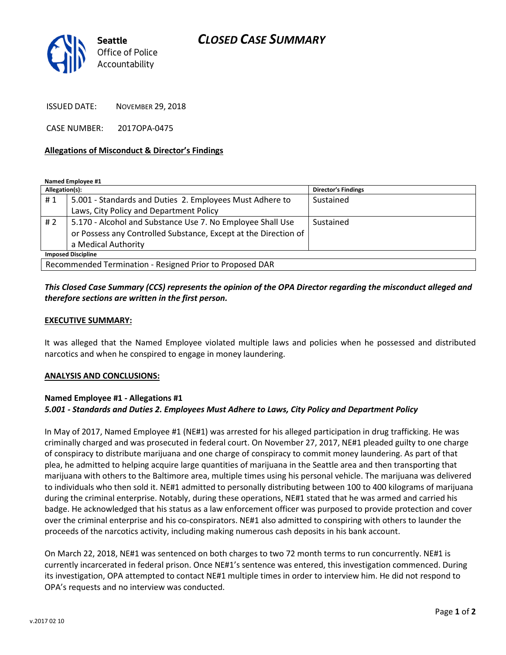## CLOSED CASE SUMMARY



ISSUED DATE: NOVEMBER 29, 2018

CASE NUMBER: 2017OPA-0475

#### Allegations of Misconduct & Director's Findings

Named Employee #1

| Allegation(s):                                           |                                                                 | <b>Director's Findings</b> |
|----------------------------------------------------------|-----------------------------------------------------------------|----------------------------|
| #1                                                       | 5.001 - Standards and Duties 2. Employees Must Adhere to        | Sustained                  |
|                                                          | Laws, City Policy and Department Policy                         |                            |
| #2                                                       | 5.170 - Alcohol and Substance Use 7. No Employee Shall Use      | Sustained                  |
|                                                          | or Possess any Controlled Substance, Except at the Direction of |                            |
|                                                          | a Medical Authority                                             |                            |
| <b>Imposed Discipline</b>                                |                                                                 |                            |
| Recommended Termination - Resigned Prior to Proposed DAR |                                                                 |                            |

## This Closed Case Summary (CCS) represents the opinion of the OPA Director regarding the misconduct alleged and therefore sections are written in the first person.

### EXECUTIVE SUMMARY:

It was alleged that the Named Employee violated multiple laws and policies when he possessed and distributed narcotics and when he conspired to engage in money laundering.

#### ANALYSIS AND CONCLUSIONS:

## Named Employee #1 - Allegations #1 5.001 - Standards and Duties 2. Employees Must Adhere to Laws, City Policy and Department Policy

In May of 2017, Named Employee #1 (NE#1) was arrested for his alleged participation in drug trafficking. He was criminally charged and was prosecuted in federal court. On November 27, 2017, NE#1 pleaded guilty to one charge of conspiracy to distribute marijuana and one charge of conspiracy to commit money laundering. As part of that plea, he admitted to helping acquire large quantities of marijuana in the Seattle area and then transporting that marijuana with others to the Baltimore area, multiple times using his personal vehicle. The marijuana was delivered to individuals who then sold it. NE#1 admitted to personally distributing between 100 to 400 kilograms of marijuana during the criminal enterprise. Notably, during these operations, NE#1 stated that he was armed and carried his badge. He acknowledged that his status as a law enforcement officer was purposed to provide protection and cover over the criminal enterprise and his co-conspirators. NE#1 also admitted to conspiring with others to launder the proceeds of the narcotics activity, including making numerous cash deposits in his bank account.

On March 22, 2018, NE#1 was sentenced on both charges to two 72 month terms to run concurrently. NE#1 is currently incarcerated in federal prison. Once NE#1's sentence was entered, this investigation commenced. During its investigation, OPA attempted to contact NE#1 multiple times in order to interview him. He did not respond to OPA's requests and no interview was conducted.